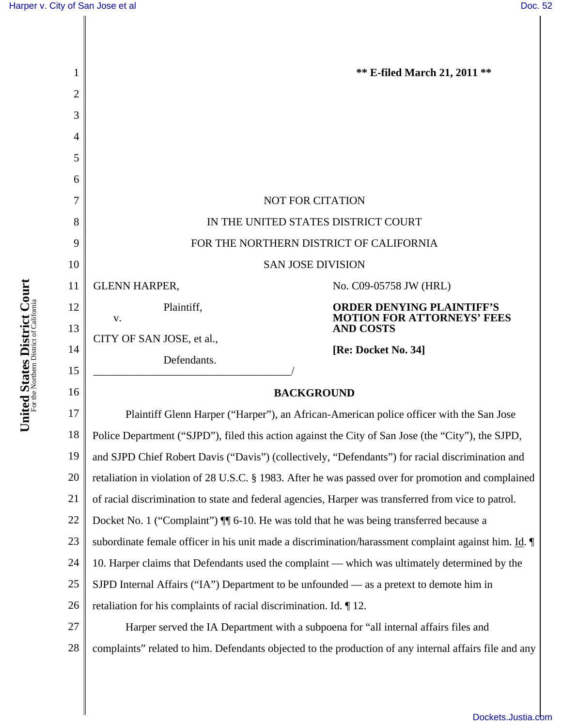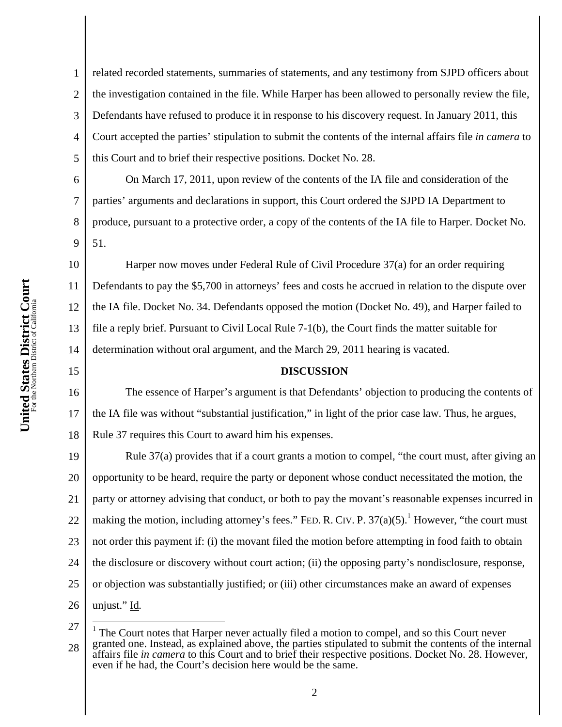1 2 3 4 5 related recorded statements, summaries of statements, and any testimony from SJPD officers about the investigation contained in the file. While Harper has been allowed to personally review the file, Defendants have refused to produce it in response to his discovery request. In January 2011, this Court accepted the parties' stipulation to submit the contents of the internal affairs file *in camera* to this Court and to brief their respective positions. Docket No. 28.

6 7 8 9 On March 17, 2011, upon review of the contents of the IA file and consideration of the parties' arguments and declarations in support, this Court ordered the SJPD IA Department to produce, pursuant to a protective order, a copy of the contents of the IA file to Harper. Docket No. 51.

10 11 12 13 14 Harper now moves under Federal Rule of Civil Procedure 37(a) for an order requiring Defendants to pay the \$5,700 in attorneys' fees and costs he accrued in relation to the dispute over the IA file. Docket No. 34. Defendants opposed the motion (Docket No. 49), and Harper failed to file a reply brief. Pursuant to Civil Local Rule 7-1(b), the Court finds the matter suitable for determination without oral argument, and the March 29, 2011 hearing is vacated.

## **DISCUSSION**

16 17 18 The essence of Harper's argument is that Defendants' objection to producing the contents of the IA file was without "substantial justification," in light of the prior case law. Thus, he argues, Rule 37 requires this Court to award him his expenses.

19 20 21 22 23 24 25 26 Rule 37(a) provides that if a court grants a motion to compel, "the court must, after giving an opportunity to be heard, require the party or deponent whose conduct necessitated the motion, the party or attorney advising that conduct, or both to pay the movant's reasonable expenses incurred in making the motion, including attorney's fees." FED. R. CIV. P.  $37(a)(5)$ .<sup>1</sup> However, "the court must not order this payment if: (i) the movant filed the motion before attempting in food faith to obtain the disclosure or discovery without court action; (ii) the opposing party's nondisclosure, response, or objection was substantially justified; or (iii) other circumstances make an award of expenses unjust." Id*.*

27

 $\overline{a}$ 

15

<sup>28</sup> 1 The Court notes that Harper never actually filed a motion to compel, and so this Court never granted one. Instead, as explained above, the parties stipulated to submit the contents of the internal affairs file *in camera* to this Court and to brief their respective positions. Docket No. 28. However, even if he had, the Court's decision here would be the same.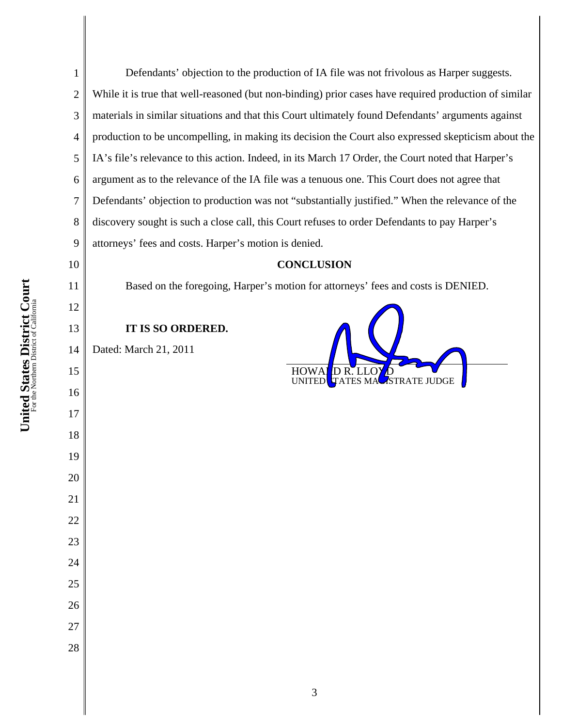Defendants' objection to the production of IA file was not frivolous as Harper suggests. While it is true that well-reasoned (but non-binding) prior cases have required production of similar materials in similar situations and that this Court ultimately found Defendants' arguments against production to be uncompelling, in making its decision the Court also expressed skepticism about the IA's file's relevance to this action. Indeed, in its March 17 Order, the Court noted that Harper's argument as to the relevance of the IA file was a tenuous one. This Court does not agree that Defendants' objection to production was not "substantially justified." When the relevance of the discovery sought is such a close call, this Court refuses to order Defendants to pay Harper's attorneys' fees and costs. Harper's motion is denied.

## **CONCLUSION**

HOWALD R. LLOY<br>UNITED TATES MA

**ASTRATE JUDGE** 

Based on the foregoing, Harper's motion for attorneys' fees and costs is DENIED.

## **IT IS SO ORDERED.**

Dated: March 21, 2011

##